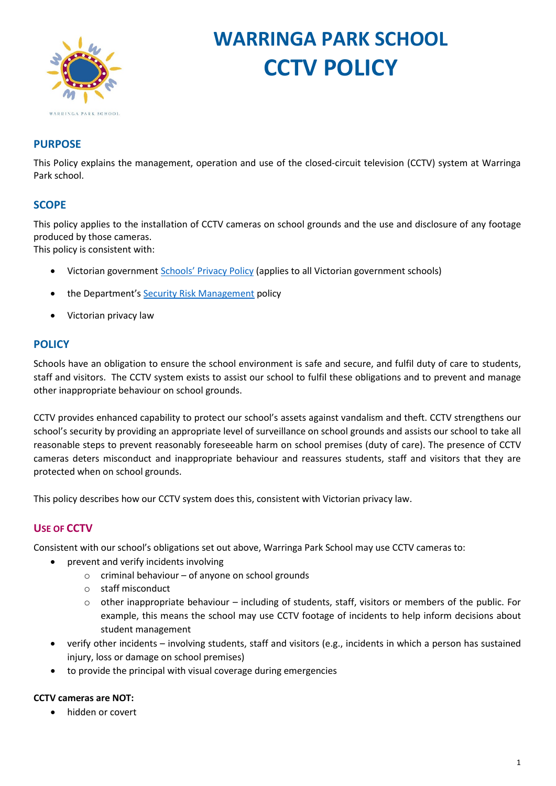

# **WARRINGA PARK SCHOOL CCTV POLICY**

# **PURPOSE**

This Policy explains the management, operation and use of the closed-circuit television (CCTV) system at Warringa Park school.

## **SCOPE**

This policy applies to the installation of CCTV cameras on school grounds and the use and disclosure of any footage produced by those cameras.

This policy is consistent with:

- Victorian government [Schools' Privacy Policy](https://www.education.vic.gov.au/Pages/schoolsprivacypolicy.aspx) (applies to all Victorian government schools)
- the Department'[s Security Risk Management](https://www.education.vic.gov.au/school/principals/spag/management/pages/security.aspx) policy
- Victorian privacy law

#### **POLICY**

Schools have an obligation to ensure the school environment is safe and secure, and fulfil duty of care to students, staff and visitors. The CCTV system exists to assist our school to fulfil these obligations and to prevent and manage other inappropriate behaviour on school grounds.

CCTV provides enhanced capability to protect our school's assets against vandalism and theft. CCTV strengthens our school's security by providing an appropriate level of surveillance on school grounds and assists our school to take all reasonable steps to prevent reasonably foreseeable harm on school premises (duty of care). The presence of CCTV cameras deters misconduct and inappropriate behaviour and reassures students, staff and visitors that they are protected when on school grounds.

This policy describes how our CCTV system does this, consistent with Victorian privacy law.

## **USE OF CCTV**

Consistent with our school's obligations set out above, Warringa Park School may use CCTV cameras to:

- prevent and verify incidents involving
	- o criminal behaviour of anyone on school grounds
	- o staff misconduct
	- $\circ$  other inappropriate behaviour including of students, staff, visitors or members of the public. For example, this means the school may use CCTV footage of incidents to help inform decisions about student management
- verify other incidents involving students, staff and visitors (e.g., incidents in which a person has sustained injury, loss or damage on school premises)
- to provide the principal with visual coverage during emergencies

#### **CCTV cameras are NOT:**

• hidden or covert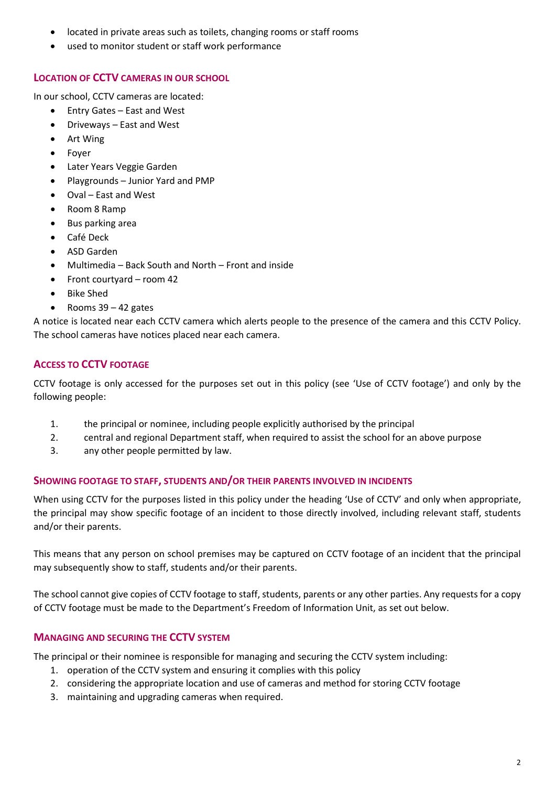- located in private areas such as toilets, changing rooms or staff rooms
- used to monitor student or staff work performance

### **LOCATION OF CCTV CAMERAS IN OUR SCHOOL**

In our school, CCTV cameras are located:

- Entry Gates East and West
- Driveways East and West
- Art Wing
- Foyer
- Later Years Veggie Garden
- Playgrounds Junior Yard and PMP
- Oval East and West
- Room 8 Ramp
- Bus parking area
- Café Deck
- ASD Garden
- Multimedia Back South and North Front and inside
- Front courtyard room 42
- Bike Shed
- Rooms  $39 42$  gates

A notice is located near each CCTV camera which alerts people to the presence of the camera and this CCTV Policy. The school cameras have notices placed near each camera.

## **ACCESS TO CCTV FOOTAGE**

CCTV footage is only accessed for the purposes set out in this policy (see 'Use of CCTV footage') and only by the following people:

- 1. the principal or nominee, including people explicitly authorised by the principal
- 2. central and regional Department staff, when required to assist the school for an above purpose
- 3. any other people permitted by law.

#### **SHOWING FOOTAGE TO STAFF, STUDENTS AND/OR THEIR PARENTS INVOLVED IN INCIDENTS**

When using CCTV for the purposes listed in this policy under the heading 'Use of CCTV' and only when appropriate, the principal may show specific footage of an incident to those directly involved, including relevant staff, students and/or their parents.

This means that any person on school premises may be captured on CCTV footage of an incident that the principal may subsequently show to staff, students and/or their parents.

The school cannot give copies of CCTV footage to staff, students, parents or any other parties. Any requests for a copy of CCTV footage must be made to the Department's Freedom of Information Unit, as set out below.

## **MANAGING AND SECURING THE CCTV SYSTEM**

The principal or their nominee is responsible for managing and securing the CCTV system including:

- 1. operation of the CCTV system and ensuring it complies with this policy
- 2. considering the appropriate location and use of cameras and method for storing CCTV footage
- 3. maintaining and upgrading cameras when required.